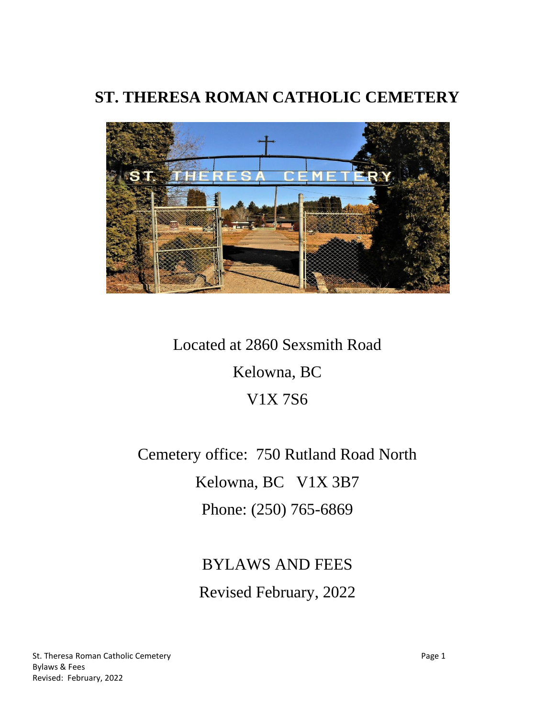

# Located at 2860 Sexsmith Road Kelowna, BC V1X 7S6

Cemetery office: 750 Rutland Road North Kelowna, BC V1X 3B7 Phone: (250) 765-6869

# BYLAWS AND FEES Revised February, 2022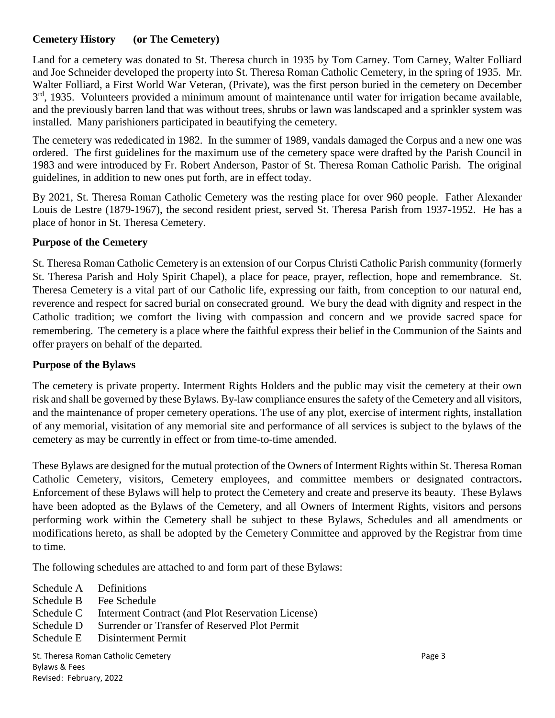#### **Cemetery History (or The Cemetery)**

Land for a cemetery was donated to St. Theresa church in 1935 by Tom Carney. Tom Carney, Walter Folliard and Joe Schneider developed the property into St. Theresa Roman Catholic Cemetery, in the spring of 1935. Mr. Walter Folliard, a First World War Veteran, (Private), was the first person buried in the cemetery on December 3<sup>rd</sup>, 1935. Volunteers provided a minimum amount of maintenance until water for irrigation became available, and the previously barren land that was without trees, shrubs or lawn was landscaped and a sprinkler system was installed. Many parishioners participated in beautifying the cemetery.

The cemetery was rededicated in 1982. In the summer of 1989, vandals damaged the Corpus and a new one was ordered. The first guidelines for the maximum use of the cemetery space were drafted by the Parish Council in 1983 and were introduced by Fr. Robert Anderson, Pastor of St. Theresa Roman Catholic Parish. The original guidelines, in addition to new ones put forth, are in effect today.

By 2021, St. Theresa Roman Catholic Cemetery was the resting place for over 960 people. Father Alexander Louis de Lestre (1879-1967), the second resident priest, served St. Theresa Parish from 1937-1952. He has a place of honor in St. Theresa Cemetery.

#### **Purpose of the Cemetery**

St. Theresa Roman Catholic Cemetery is an extension of our Corpus Christi Catholic Parish community (formerly St. Theresa Parish and Holy Spirit Chapel), a place for peace, prayer, reflection, hope and remembrance. St. Theresa Cemetery is a vital part of our Catholic life, expressing our faith, from conception to our natural end, reverence and respect for sacred burial on consecrated ground. We bury the dead with dignity and respect in the Catholic tradition; we comfort the living with compassion and concern and we provide sacred space for remembering. The cemetery is a place where the faithful express their belief in the Communion of the Saints and offer prayers on behalf of the departed.

#### **Purpose of the Bylaws**

The cemetery is private property. Interment Rights Holders and the public may visit the cemetery at their own risk and shall be governed by these Bylaws. By-law compliance ensures the safety of the Cemetery and all visitors, and the maintenance of proper cemetery operations. The use of any plot, exercise of interment rights, installation of any memorial, visitation of any memorial site and performance of all services is subject to the bylaws of the cemetery as may be currently in effect or from time-to-time amended.

These Bylaws are designed for the mutual protection of the Owners of Interment Rights within St. Theresa Roman Catholic Cemetery, visitors, Cemetery employees, and committee members or designated contractors**.** Enforcement of these Bylaws will help to protect the Cemetery and create and preserve its beauty. These Bylaws have been adopted as the Bylaws of the Cemetery, and all Owners of Interment Rights, visitors and persons performing work within the Cemetery shall be subject to these Bylaws, Schedules and all amendments or modifications hereto, as shall be adopted by the Cemetery Committee and approved by the Registrar from time to time.

The following schedules are attached to and form part of these Bylaws:

Schedule A Definitions

- Schedule B Fee Schedule
- Schedule C Interment Contract (and Plot Reservation License)
- Schedule D Surrender or Transfer of Reserved Plot Permit
- Schedule E Disinterment Permit

St. Theresa Roman Catholic Cemetery **Page 3** and the state of the state of the state of the state of the state of the state of the state of the state of the state of the state of the state of the state of the state of the Bylaws & Fees Revised: February, 2022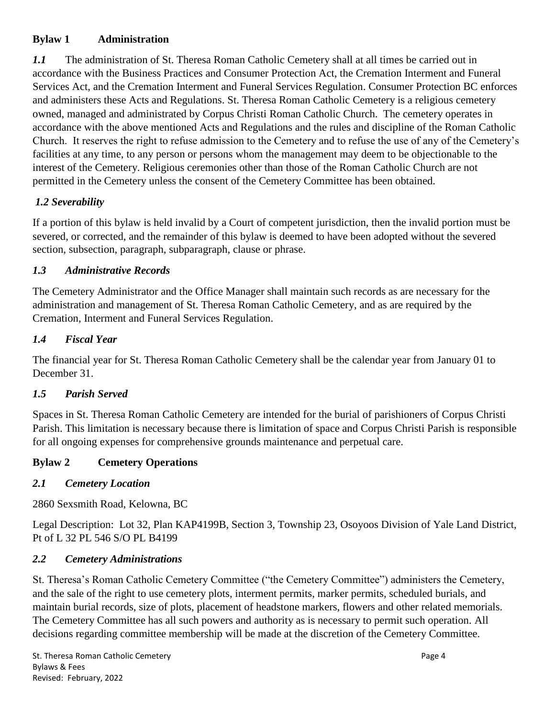#### **Bylaw 1 Administration**

*1.1* The administration of St. Theresa Roman Catholic Cemetery shall at all times be carried out in accordance with the Business Practices and Consumer Protection Act, the Cremation Interment and Funeral Services Act, and the Cremation Interment and Funeral Services Regulation. Consumer Protection BC enforces and administers these Acts and Regulations. St. Theresa Roman Catholic Cemetery is a religious cemetery owned, managed and administrated by Corpus Christi Roman Catholic Church. The cemetery operates in accordance with the above mentioned Acts and Regulations and the rules and discipline of the Roman Catholic Church. It reserves the right to refuse admission to the Cemetery and to refuse the use of any of the Cemetery's facilities at any time, to any person or persons whom the management may deem to be objectionable to the interest of the Cemetery. Religious ceremonies other than those of the Roman Catholic Church are not permitted in the Cemetery unless the consent of the Cemetery Committee has been obtained.

# *1.2 Severability*

If a portion of this bylaw is held invalid by a Court of competent jurisdiction, then the invalid portion must be severed, or corrected, and the remainder of this bylaw is deemed to have been adopted without the severed section, subsection, paragraph, subparagraph, clause or phrase.

# *1.3 Administrative Records*

The Cemetery Administrator and the Office Manager shall maintain such records as are necessary for the administration and management of St. Theresa Roman Catholic Cemetery, and as are required by the Cremation, Interment and Funeral Services Regulation.

# *1.4 Fiscal Year*

The financial year for St. Theresa Roman Catholic Cemetery shall be the calendar year from January 01 to December 31.

### *1.5 Parish Served*

Spaces in St. Theresa Roman Catholic Cemetery are intended for the burial of parishioners of Corpus Christi Parish. This limitation is necessary because there is limitation of space and Corpus Christi Parish is responsible for all ongoing expenses for comprehensive grounds maintenance and perpetual care.

# **Bylaw 2 Cemetery Operations**

### *2.1 Cemetery Location*

2860 Sexsmith Road, Kelowna, BC

Legal Description: Lot 32, Plan KAP4199B, Section 3, Township 23, Osoyoos Division of Yale Land District, Pt of L 32 PL 546 S/O PL B4199

### *2.2 Cemetery Administrations*

St. Theresa's Roman Catholic Cemetery Committee ("the Cemetery Committee") administers the Cemetery, and the sale of the right to use cemetery plots, interment permits, marker permits, scheduled burials, and maintain burial records, size of plots, placement of headstone markers, flowers and other related memorials. The Cemetery Committee has all such powers and authority as is necessary to permit such operation. All decisions regarding committee membership will be made at the discretion of the Cemetery Committee.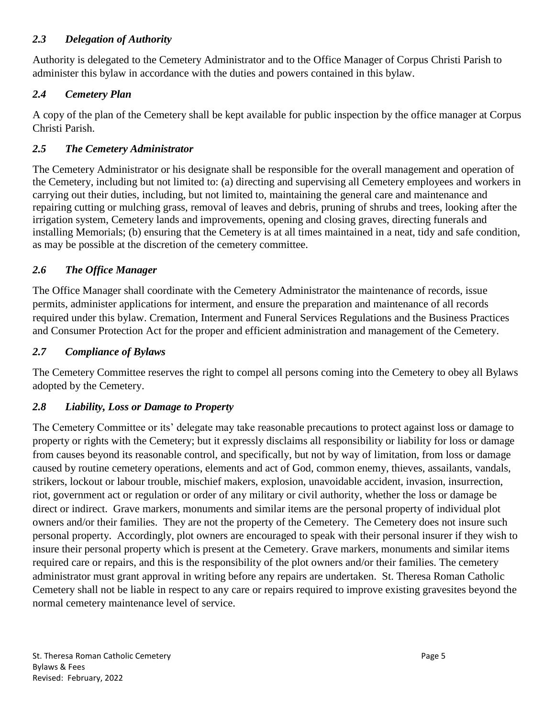#### *2.3 Delegation of Authority*

Authority is delegated to the Cemetery Administrator and to the Office Manager of Corpus Christi Parish to administer this bylaw in accordance with the duties and powers contained in this bylaw.

#### *2.4 Cemetery Plan*

A copy of the plan of the Cemetery shall be kept available for public inspection by the office manager at Corpus Christi Parish.

#### *2.5 The Cemetery Administrator*

The Cemetery Administrator or his designate shall be responsible for the overall management and operation of the Cemetery, including but not limited to: (a) directing and supervising all Cemetery employees and workers in carrying out their duties, including, but not limited to, maintaining the general care and maintenance and repairing cutting or mulching grass, removal of leaves and debris, pruning of shrubs and trees, looking after the irrigation system, Cemetery lands and improvements, opening and closing graves, directing funerals and installing Memorials; (b) ensuring that the Cemetery is at all times maintained in a neat, tidy and safe condition, as may be possible at the discretion of the cemetery committee.

### *2.6 The Office Manager*

The Office Manager shall coordinate with the Cemetery Administrator the maintenance of records, issue permits, administer applications for interment, and ensure the preparation and maintenance of all records required under this bylaw. Cremation, Interment and Funeral Services Regulations and the Business Practices and Consumer Protection Act for the proper and efficient administration and management of the Cemetery.

#### *2.7 Compliance of Bylaws*

The Cemetery Committee reserves the right to compel all persons coming into the Cemetery to obey all Bylaws adopted by the Cemetery.

#### *2.8 Liability, Loss or Damage to Property*

The Cemetery Committee or its' delegate may take reasonable precautions to protect against loss or damage to property or rights with the Cemetery; but it expressly disclaims all responsibility or liability for loss or damage from causes beyond its reasonable control, and specifically, but not by way of limitation, from loss or damage caused by routine cemetery operations, elements and act of God, common enemy, thieves, assailants, vandals, strikers, lockout or labour trouble, mischief makers, explosion, unavoidable accident, invasion, insurrection, riot, government act or regulation or order of any military or civil authority, whether the loss or damage be direct or indirect. Grave markers, monuments and similar items are the personal property of individual plot owners and/or their families. They are not the property of the Cemetery. The Cemetery does not insure such personal property. Accordingly, plot owners are encouraged to speak with their personal insurer if they wish to insure their personal property which is present at the Cemetery. Grave markers, monuments and similar items required care or repairs, and this is the responsibility of the plot owners and/or their families. The cemetery administrator must grant approval in writing before any repairs are undertaken. St. Theresa Roman Catholic Cemetery shall not be liable in respect to any care or repairs required to improve existing gravesites beyond the normal cemetery maintenance level of service.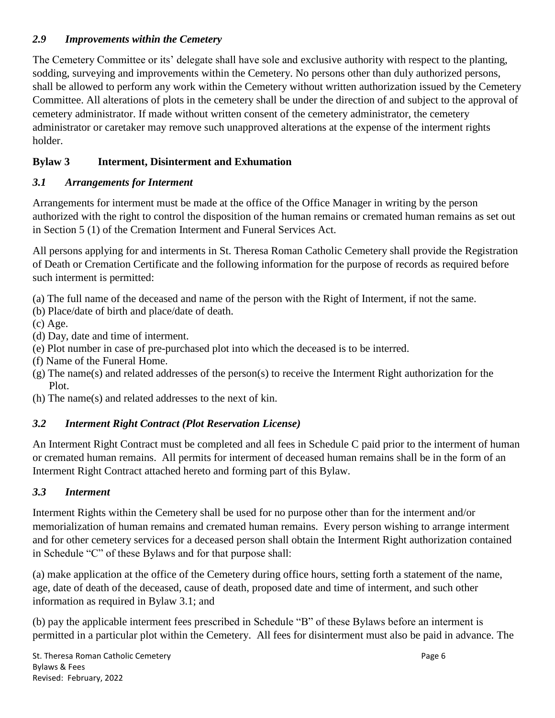### *2.9 Improvements within the Cemetery*

The Cemetery Committee or its' delegate shall have sole and exclusive authority with respect to the planting, sodding, surveying and improvements within the Cemetery. No persons other than duly authorized persons, shall be allowed to perform any work within the Cemetery without written authorization issued by the Cemetery Committee. All alterations of plots in the cemetery shall be under the direction of and subject to the approval of cemetery administrator. If made without written consent of the cemetery administrator, the cemetery administrator or caretaker may remove such unapproved alterations at the expense of the interment rights holder.

#### **Bylaw 3 Interment, Disinterment and Exhumation**

#### *3.1 Arrangements for Interment*

Arrangements for interment must be made at the office of the Office Manager in writing by the person authorized with the right to control the disposition of the human remains or cremated human remains as set out in Section 5 (1) of the Cremation Interment and Funeral Services Act.

All persons applying for and interments in St. Theresa Roman Catholic Cemetery shall provide the Registration of Death or Cremation Certificate and the following information for the purpose of records as required before such interment is permitted:

(a) The full name of the deceased and name of the person with the Right of Interment, if not the same.

(b) Place/date of birth and place/date of death.

(c) Age.

- (d) Day, date and time of interment.
- (e) Plot number in case of pre-purchased plot into which the deceased is to be interred.
- (f) Name of the Funeral Home.
- (g) The name(s) and related addresses of the person(s) to receive the Interment Right authorization for the Plot.
- (h) The name(s) and related addresses to the next of kin.

### *3.2 Interment Right Contract (Plot Reservation License)*

An Interment Right Contract must be completed and all fees in Schedule C paid prior to the interment of human or cremated human remains. All permits for interment of deceased human remains shall be in the form of an Interment Right Contract attached hereto and forming part of this Bylaw.

#### *3.3 Interment*

Interment Rights within the Cemetery shall be used for no purpose other than for the interment and/or memorialization of human remains and cremated human remains. Every person wishing to arrange interment and for other cemetery services for a deceased person shall obtain the Interment Right authorization contained in Schedule "C" of these Bylaws and for that purpose shall:

(a) make application at the office of the Cemetery during office hours, setting forth a statement of the name, age, date of death of the deceased, cause of death, proposed date and time of interment, and such other information as required in Bylaw 3.1; and

(b) pay the applicable interment fees prescribed in Schedule "B" of these Bylaws before an interment is permitted in a particular plot within the Cemetery. All fees for disinterment must also be paid in advance. The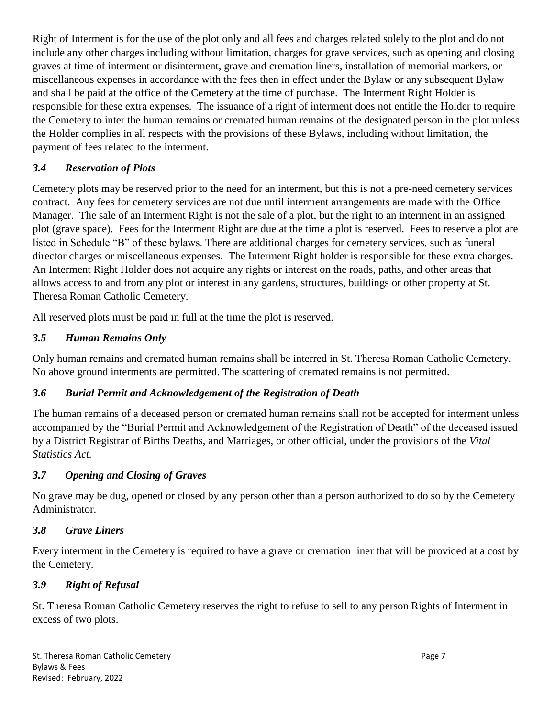Right of Interment is for the use of the plot only and all fees and charges related solely to the plot and do not include any other charges including without limitation, charges for grave services, such as opening and closing graves at time of interment or disinterment, grave and cremation liners, installation of memorial markers, or miscellaneous expenses in accordance with the fees then in effect under the Bylaw or any subsequent Bylaw and shall be paid at the office of the Cemetery at the time of purchase. The Interment Right Holder is responsible for these extra expenses. The issuance of a right of interment does not entitle the Holder to require the Cemetery to inter the human remains or cremated human remains of the designated person in the plot unless the Holder complies in all respects with the provisions of these Bylaws, including without limitation, the payment of fees related to the interment.

# *3.4 Reservation of Plots*

Cemetery plots may be reserved prior to the need for an interment, but this is not a pre-need cemetery services contract. Any fees for cemetery services are not due until interment arrangements are made with the Office Manager. The sale of an Interment Right is not the sale of a plot, but the right to an interment in an assigned plot (grave space). Fees for the Interment Right are due at the time a plot is reserved. Fees to reserve a plot are listed in Schedule "B" of these bylaws. There are additional charges for cemetery services, such as funeral director charges or miscellaneous expenses. The Interment Right holder is responsible for these extra charges. An Interment Right Holder does not acquire any rights or interest on the roads, paths, and other areas that allows access to and from any plot or interest in any gardens, structures, buildings or other property at St. Theresa Roman Catholic Cemetery.

All reserved plots must be paid in full at the time the plot is reserved.

# *3.5 Human Remains Only*

Only human remains and cremated human remains shall be interred in St. Theresa Roman Catholic Cemetery. No above ground interments are permitted. The scattering of cremated remains is not permitted.

# *3.6 Burial Permit and Acknowledgement of the Registration of Death*

The human remains of a deceased person or cremated human remains shall not be accepted for interment unless accompanied by the "Burial Permit and Acknowledgement of the Registration of Death" of the deceased issued by a District Registrar of Births Deaths, and Marriages, or other official, under the provisions of the *Vital Statistics Act.*

### *3.7 Opening and Closing of Graves*

No grave may be dug, opened or closed by any person other than a person authorized to do so by the Cemetery Administrator.

### *3.8 Grave Liners*

Every interment in the Cemetery is required to have a grave or cremation liner that will be provided at a cost by the Cemetery.

### *3.9 Right of Refusal*

St. Theresa Roman Catholic Cemetery reserves the right to refuse to sell to any person Rights of Interment in excess of two plots.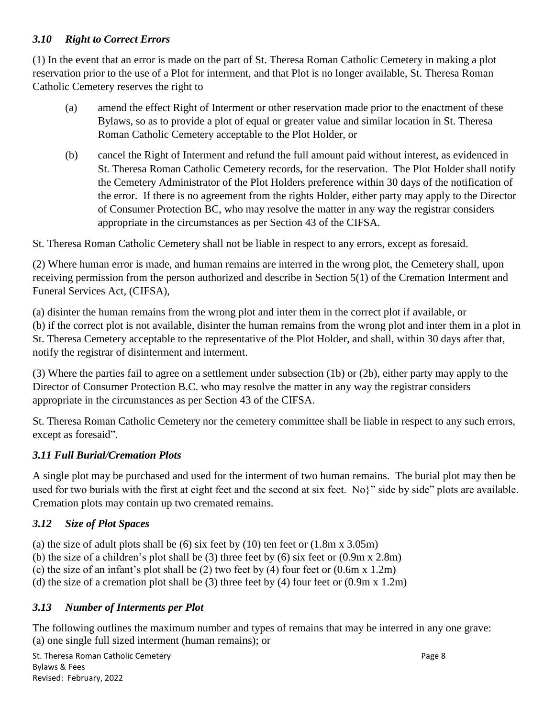# *3.10 Right to Correct Errors*

(1) In the event that an error is made on the part of St. Theresa Roman Catholic Cemetery in making a plot reservation prior to the use of a Plot for interment, and that Plot is no longer available, St. Theresa Roman Catholic Cemetery reserves the right to

- (a) amend the effect Right of Interment or other reservation made prior to the enactment of these Bylaws, so as to provide a plot of equal or greater value and similar location in St. Theresa Roman Catholic Cemetery acceptable to the Plot Holder, or
- (b) cancel the Right of Interment and refund the full amount paid without interest, as evidenced in St. Theresa Roman Catholic Cemetery records, for the reservation. The Plot Holder shall notify the Cemetery Administrator of the Plot Holders preference within 30 days of the notification of the error. If there is no agreement from the rights Holder, either party may apply to the Director of Consumer Protection BC, who may resolve the matter in any way the registrar considers appropriate in the circumstances as per Section 43 of the CIFSA.

St. Theresa Roman Catholic Cemetery shall not be liable in respect to any errors, except as foresaid.

(2) Where human error is made, and human remains are interred in the wrong plot, the Cemetery shall, upon receiving permission from the person authorized and describe in Section 5(1) of the Cremation Interment and Funeral Services Act, (CIFSA),

(a) disinter the human remains from the wrong plot and inter them in the correct plot if available, or

(b) if the correct plot is not available, disinter the human remains from the wrong plot and inter them in a plot in St. Theresa Cemetery acceptable to the representative of the Plot Holder, and shall, within 30 days after that, notify the registrar of disinterment and interment.

(3) Where the parties fail to agree on a settlement under subsection (1b) or (2b), either party may apply to the Director of Consumer Protection B.C. who may resolve the matter in any way the registrar considers appropriate in the circumstances as per Section 43 of the CIFSA.

St. Theresa Roman Catholic Cemetery nor the cemetery committee shall be liable in respect to any such errors, except as foresaid".

# *3.11 Full Burial/Cremation Plots*

A single plot may be purchased and used for the interment of two human remains. The burial plot may then be used for two burials with the first at eight feet and the second at six feet. No?" side by side" plots are available. Cremation plots may contain up two cremated remains.

# *3.12 Size of Plot Spaces*

- (a) the size of adult plots shall be  $(6)$  six feet by  $(10)$  ten feet or  $(1.8m \times 3.05m)$
- (b) the size of a children's plot shall be  $(3)$  three feet by  $(6)$  six feet or  $(0.9m \times 2.8m)$
- (c) the size of an infant's plot shall be  $(2)$  two feet by  $(4)$  four feet or  $(0.6m \times 1.2m)$

(d) the size of a cremation plot shall be (3) three feet by (4) four feet or  $(0.9m \times 1.2m)$ 

# *3.13 Number of Interments per Plot*

The following outlines the maximum number and types of remains that may be interred in any one grave: (a) one single full sized interment (human remains); or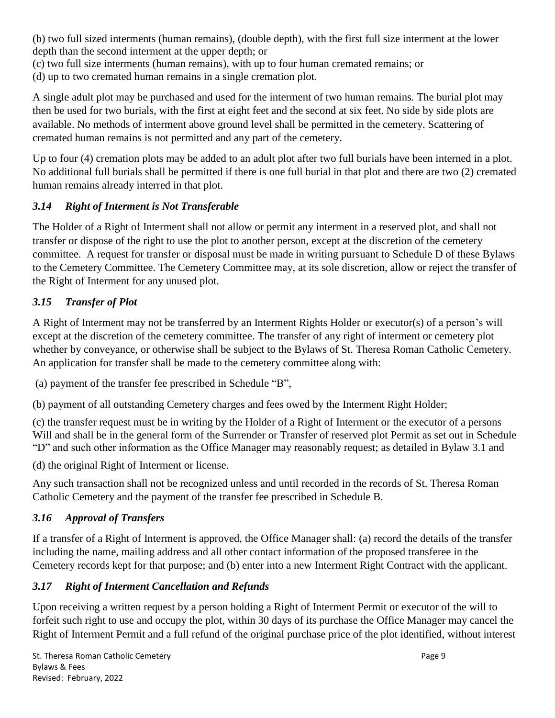(b) two full sized interments (human remains), (double depth), with the first full size interment at the lower depth than the second interment at the upper depth; or

(c) two full size interments (human remains), with up to four human cremated remains; or

(d) up to two cremated human remains in a single cremation plot.

A single adult plot may be purchased and used for the interment of two human remains. The burial plot may then be used for two burials, with the first at eight feet and the second at six feet. No side by side plots are available. No methods of interment above ground level shall be permitted in the cemetery. Scattering of cremated human remains is not permitted and any part of the cemetery.

Up to four (4) cremation plots may be added to an adult plot after two full burials have been interned in a plot. No additional full burials shall be permitted if there is one full burial in that plot and there are two (2) cremated human remains already interred in that plot.

# *3.14 Right of Interment is Not Transferable*

The Holder of a Right of Interment shall not allow or permit any interment in a reserved plot, and shall not transfer or dispose of the right to use the plot to another person, except at the discretion of the cemetery committee. A request for transfer or disposal must be made in writing pursuant to Schedule D of these Bylaws to the Cemetery Committee. The Cemetery Committee may, at its sole discretion, allow or reject the transfer of the Right of Interment for any unused plot.

# *3.15 Transfer of Plot*

A Right of Interment may not be transferred by an Interment Rights Holder or executor(s) of a person's will except at the discretion of the cemetery committee. The transfer of any right of interment or cemetery plot whether by conveyance, or otherwise shall be subject to the Bylaws of St. Theresa Roman Catholic Cemetery. An application for transfer shall be made to the cemetery committee along with:

(a) payment of the transfer fee prescribed in Schedule "B",

(b) payment of all outstanding Cemetery charges and fees owed by the Interment Right Holder;

(c) the transfer request must be in writing by the Holder of a Right of Interment or the executor of a persons Will and shall be in the general form of the Surrender or Transfer of reserved plot Permit as set out in Schedule "D" and such other information as the Office Manager may reasonably request; as detailed in Bylaw 3.1 and

(d) the original Right of Interment or license.

Any such transaction shall not be recognized unless and until recorded in the records of St. Theresa Roman Catholic Cemetery and the payment of the transfer fee prescribed in Schedule B.

# *3.16 Approval of Transfers*

If a transfer of a Right of Interment is approved, the Office Manager shall: (a) record the details of the transfer including the name, mailing address and all other contact information of the proposed transferee in the Cemetery records kept for that purpose; and (b) enter into a new Interment Right Contract with the applicant.

# *3.17 Right of Interment Cancellation and Refunds*

Upon receiving a written request by a person holding a Right of Interment Permit or executor of the will to forfeit such right to use and occupy the plot, within 30 days of its purchase the Office Manager may cancel the Right of Interment Permit and a full refund of the original purchase price of the plot identified, without interest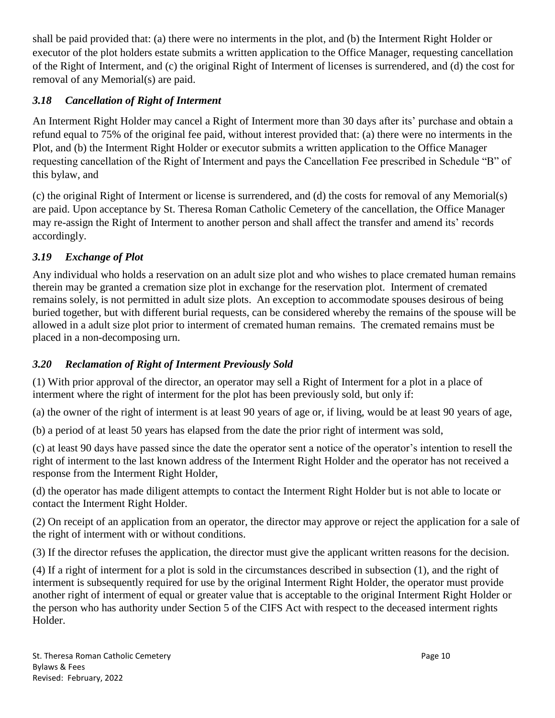shall be paid provided that: (a) there were no interments in the plot, and (b) the Interment Right Holder or executor of the plot holders estate submits a written application to the Office Manager, requesting cancellation of the Right of Interment, and (c) the original Right of Interment of licenses is surrendered, and (d) the cost for removal of any Memorial(s) are paid.

# *3.18 Cancellation of Right of Interment*

An Interment Right Holder may cancel a Right of Interment more than 30 days after its' purchase and obtain a refund equal to 75% of the original fee paid, without interest provided that: (a) there were no interments in the Plot, and (b) the Interment Right Holder or executor submits a written application to the Office Manager requesting cancellation of the Right of Interment and pays the Cancellation Fee prescribed in Schedule "B" of this bylaw, and

(c) the original Right of Interment or license is surrendered, and (d) the costs for removal of any Memorial(s) are paid. Upon acceptance by St. Theresa Roman Catholic Cemetery of the cancellation, the Office Manager may re-assign the Right of Interment to another person and shall affect the transfer and amend its' records accordingly.

# *3.19 Exchange of Plot*

Any individual who holds a reservation on an adult size plot and who wishes to place cremated human remains therein may be granted a cremation size plot in exchange for the reservation plot. Interment of cremated remains solely, is not permitted in adult size plots. An exception to accommodate spouses desirous of being buried together, but with different burial requests, can be considered whereby the remains of the spouse will be allowed in a adult size plot prior to interment of cremated human remains. The cremated remains must be placed in a non-decomposing urn.

# *3.20 Reclamation of Right of Interment Previously Sold*

(1) With prior approval of the director, an operator may sell a Right of Interment for a plot in a place of interment where the right of interment for the plot has been previously sold, but only if:

(a) the owner of the right of interment is at least 90 years of age or, if living, would be at least 90 years of age,

(b) a period of at least 50 years has elapsed from the date the prior right of interment was sold,

(c) at least 90 days have passed since the date the operator sent a notice of the operator's intention to resell the right of interment to the last known address of the Interment Right Holder and the operator has not received a response from the Interment Right Holder,

(d) the operator has made diligent attempts to contact the Interment Right Holder but is not able to locate or contact the Interment Right Holder.

(2) On receipt of an application from an operator, the director may approve or reject the application for a sale of the right of interment with or without conditions.

(3) If the director refuses the application, the director must give the applicant written reasons for the decision.

(4) If a right of interment for a plot is sold in the circumstances described in subsection (1), and the right of interment is subsequently required for use by the original Interment Right Holder, the operator must provide another right of interment of equal or greater value that is acceptable to the original Interment Right Holder or the person who has authority under Section 5 of the CIFS Act with respect to the deceased interment rights Holder.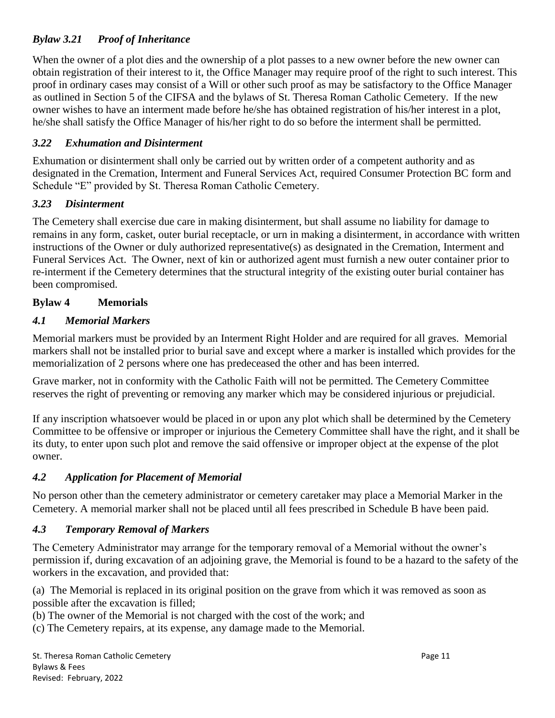### *Bylaw 3.21 Proof of Inheritance*

When the owner of a plot dies and the ownership of a plot passes to a new owner before the new owner can obtain registration of their interest to it, the Office Manager may require proof of the right to such interest. This proof in ordinary cases may consist of a Will or other such proof as may be satisfactory to the Office Manager as outlined in Section 5 of the CIFSA and the bylaws of St. Theresa Roman Catholic Cemetery. If the new owner wishes to have an interment made before he/she has obtained registration of his/her interest in a plot, he/she shall satisfy the Office Manager of his/her right to do so before the interment shall be permitted.

#### *3.22 Exhumation and Disinterment*

Exhumation or disinterment shall only be carried out by written order of a competent authority and as designated in the Cremation, Interment and Funeral Services Act, required Consumer Protection BC form and Schedule "E" provided by St. Theresa Roman Catholic Cemetery.

#### *3.23 Disinterment*

The Cemetery shall exercise due care in making disinterment, but shall assume no liability for damage to remains in any form, casket, outer burial receptacle, or urn in making a disinterment, in accordance with written instructions of the Owner or duly authorized representative(s) as designated in the Cremation, Interment and Funeral Services Act. The Owner, next of kin or authorized agent must furnish a new outer container prior to re-interment if the Cemetery determines that the structural integrity of the existing outer burial container has been compromised.

#### **Bylaw 4 Memorials**

#### *4.1 Memorial Markers*

Memorial markers must be provided by an Interment Right Holder and are required for all graves. Memorial markers shall not be installed prior to burial save and except where a marker is installed which provides for the memorialization of 2 persons where one has predeceased the other and has been interred.

Grave marker, not in conformity with the Catholic Faith will not be permitted. The Cemetery Committee reserves the right of preventing or removing any marker which may be considered injurious or prejudicial.

If any inscription whatsoever would be placed in or upon any plot which shall be determined by the Cemetery Committee to be offensive or improper or injurious the Cemetery Committee shall have the right, and it shall be its duty, to enter upon such plot and remove the said offensive or improper object at the expense of the plot owner.

### *4.2 Application for Placement of Memorial*

No person other than the cemetery administrator or cemetery caretaker may place a Memorial Marker in the Cemetery. A memorial marker shall not be placed until all fees prescribed in Schedule B have been paid.

### *4.3 Temporary Removal of Markers*

The Cemetery Administrator may arrange for the temporary removal of a Memorial without the owner's permission if, during excavation of an adjoining grave, the Memorial is found to be a hazard to the safety of the workers in the excavation, and provided that:

(a) The Memorial is replaced in its original position on the grave from which it was removed as soon as possible after the excavation is filled;

(b) The owner of the Memorial is not charged with the cost of the work; and

(c) The Cemetery repairs, at its expense, any damage made to the Memorial.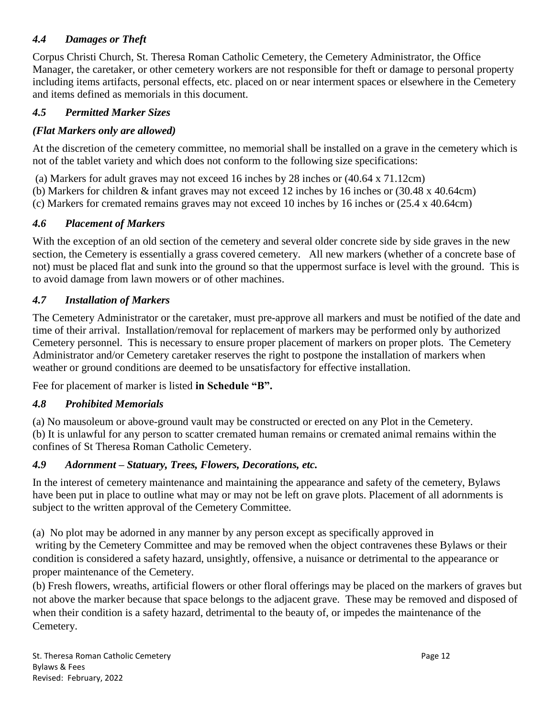#### *4.4 Damages or Theft*

Corpus Christi Church, St. Theresa Roman Catholic Cemetery, the Cemetery Administrator, the Office Manager, the caretaker, or other cemetery workers are not responsible for theft or damage to personal property including items artifacts, personal effects, etc. placed on or near interment spaces or elsewhere in the Cemetery and items defined as memorials in this document.

#### *4.5 Permitted Marker Sizes*

#### *(Flat Markers only are allowed)*

At the discretion of the cemetery committee, no memorial shall be installed on a grave in the cemetery which is not of the tablet variety and which does not conform to the following size specifications:

(a) Markers for adult graves may not exceed 16 inches by 28 inches or (40.64 x 71.12cm)

(b) Markers for children & infant graves may not exceed 12 inches by 16 inches or (30.48 x 40.64cm)

(c) Markers for cremated remains graves may not exceed 10 inches by 16 inches or (25.4 x 40.64cm)

#### *4.6 Placement of Markers*

With the exception of an old section of the cemetery and several older concrete side by side graves in the new section, the Cemetery is essentially a grass covered cemetery. All new markers (whether of a concrete base of not) must be placed flat and sunk into the ground so that the uppermost surface is level with the ground. This is to avoid damage from lawn mowers or of other machines.

#### *4.7 Installation of Markers*

The Cemetery Administrator or the caretaker, must pre-approve all markers and must be notified of the date and time of their arrival. Installation/removal for replacement of markers may be performed only by authorized Cemetery personnel. This is necessary to ensure proper placement of markers on proper plots. The Cemetery Administrator and/or Cemetery caretaker reserves the right to postpone the installation of markers when weather or ground conditions are deemed to be unsatisfactory for effective installation.

Fee for placement of marker is listed **in Schedule "B".**

#### *4.8 Prohibited Memorials*

(a) No mausoleum or above-ground vault may be constructed or erected on any Plot in the Cemetery. (b) It is unlawful for any person to scatter cremated human remains or cremated animal remains within the confines of St Theresa Roman Catholic Cemetery.

#### *4.9 Adornment – Statuary, Trees, Flowers, Decorations, etc.*

In the interest of cemetery maintenance and maintaining the appearance and safety of the cemetery, Bylaws have been put in place to outline what may or may not be left on grave plots. Placement of all adornments is subject to the written approval of the Cemetery Committee.

(a) No plot may be adorned in any manner by any person except as specifically approved in writing by the Cemetery Committee and may be removed when the object contravenes these Bylaws or their condition is considered a safety hazard, unsightly, offensive, a nuisance or detrimental to the appearance or proper maintenance of the Cemetery.

(b) Fresh flowers, wreaths, artificial flowers or other floral offerings may be placed on the markers of graves but not above the marker because that space belongs to the adjacent grave. These may be removed and disposed of when their condition is a safety hazard, detrimental to the beauty of, or impedes the maintenance of the Cemetery.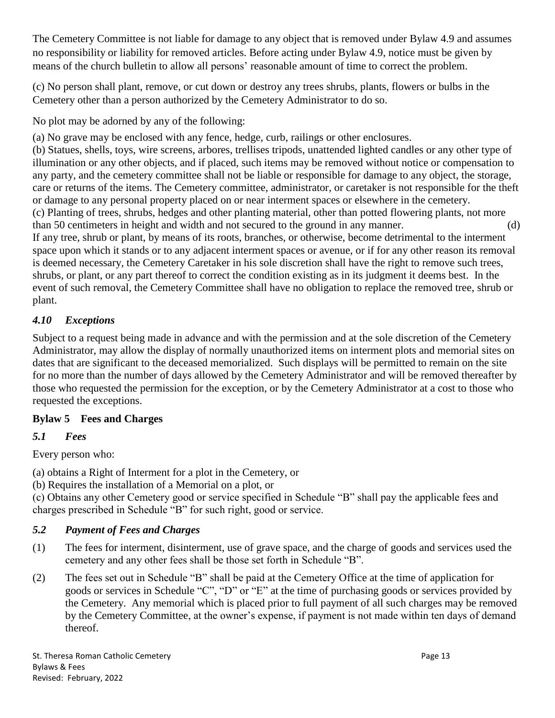The Cemetery Committee is not liable for damage to any object that is removed under Bylaw 4.9 and assumes no responsibility or liability for removed articles. Before acting under Bylaw 4.9, notice must be given by means of the church bulletin to allow all persons' reasonable amount of time to correct the problem.

(c) No person shall plant, remove, or cut down or destroy any trees shrubs, plants, flowers or bulbs in the Cemetery other than a person authorized by the Cemetery Administrator to do so.

No plot may be adorned by any of the following:

(a) No grave may be enclosed with any fence, hedge, curb, railings or other enclosures.

(b) Statues, shells, toys, wire screens, arbores, trellises tripods, unattended lighted candles or any other type of illumination or any other objects, and if placed, such items may be removed without notice or compensation to any party, and the cemetery committee shall not be liable or responsible for damage to any object, the storage, care or returns of the items. The Cemetery committee, administrator, or caretaker is not responsible for the theft or damage to any personal property placed on or near interment spaces or elsewhere in the cemetery. (c) Planting of trees, shrubs, hedges and other planting material, other than potted flowering plants, not more than 50 centimeters in height and width and not secured to the ground in any manner. (d) If any tree, shrub or plant, by means of its roots, branches, or otherwise, become detrimental to the interment space upon which it stands or to any adjacent interment spaces or avenue, or if for any other reason its removal is deemed necessary, the Cemetery Caretaker in his sole discretion shall have the right to remove such trees, shrubs, or plant, or any part thereof to correct the condition existing as in its judgment it deems best. In the event of such removal, the Cemetery Committee shall have no obligation to replace the removed tree, shrub or plant.

# *4.10 Exceptions*

Subject to a request being made in advance and with the permission and at the sole discretion of the Cemetery Administrator, may allow the display of normally unauthorized items on interment plots and memorial sites on dates that are significant to the deceased memorialized. Such displays will be permitted to remain on the site for no more than the number of days allowed by the Cemetery Administrator and will be removed thereafter by those who requested the permission for the exception, or by the Cemetery Administrator at a cost to those who requested the exceptions.

# **Bylaw 5 Fees and Charges**

# *5.1 Fees*

Every person who:

(a) obtains a Right of Interment for a plot in the Cemetery, or

(b) Requires the installation of a Memorial on a plot, or

(c) Obtains any other Cemetery good or service specified in Schedule "B" shall pay the applicable fees and charges prescribed in Schedule "B" for such right, good or service.

# *5.2 Payment of Fees and Charges*

- (1) The fees for interment, disinterment, use of grave space, and the charge of goods and services used the cemetery and any other fees shall be those set forth in Schedule "B".
- (2) The fees set out in Schedule "B" shall be paid at the Cemetery Office at the time of application for goods or services in Schedule "C", "D" or "E" at the time of purchasing goods or services provided by the Cemetery. Any memorial which is placed prior to full payment of all such charges may be removed by the Cemetery Committee, at the owner's expense, if payment is not made within ten days of demand thereof.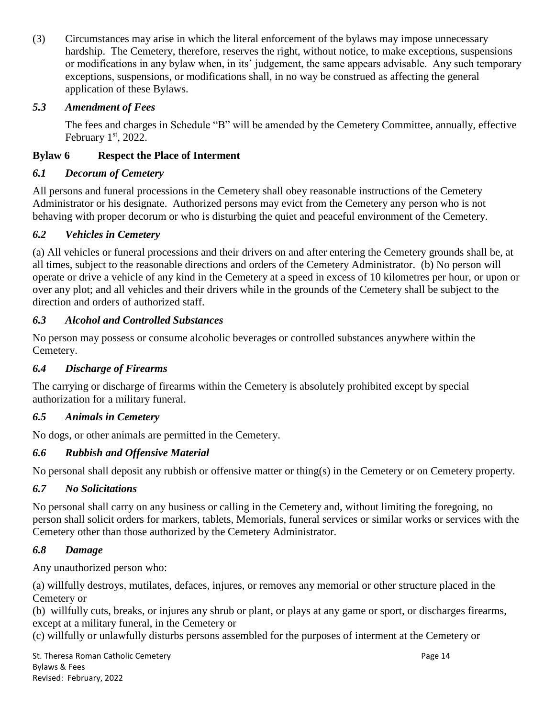(3) Circumstances may arise in which the literal enforcement of the bylaws may impose unnecessary hardship. The Cemetery, therefore, reserves the right, without notice, to make exceptions, suspensions or modifications in any bylaw when, in its' judgement, the same appears advisable. Any such temporary exceptions, suspensions, or modifications shall, in no way be construed as affecting the general application of these Bylaws.

#### *5.3 Amendment of Fees*

 The fees and charges in Schedule "B" will be amended by the Cemetery Committee, annually, effective February  $1<sup>st</sup>$ , 2022.

#### **Bylaw 6 Respect the Place of Interment**

#### *6.1 Decorum of Cemetery*

All persons and funeral processions in the Cemetery shall obey reasonable instructions of the Cemetery Administrator or his designate. Authorized persons may evict from the Cemetery any person who is not behaving with proper decorum or who is disturbing the quiet and peaceful environment of the Cemetery.

#### *6.2 Vehicles in Cemetery*

(a) All vehicles or funeral processions and their drivers on and after entering the Cemetery grounds shall be, at all times, subject to the reasonable directions and orders of the Cemetery Administrator. (b) No person will operate or drive a vehicle of any kind in the Cemetery at a speed in excess of 10 kilometres per hour, or upon or over any plot; and all vehicles and their drivers while in the grounds of the Cemetery shall be subject to the direction and orders of authorized staff.

#### *6.3 Alcohol and Controlled Substances*

No person may possess or consume alcoholic beverages or controlled substances anywhere within the Cemetery.

### *6.4 Discharge of Firearms*

The carrying or discharge of firearms within the Cemetery is absolutely prohibited except by special authorization for a military funeral.

#### *6.5 Animals in Cemetery*

No dogs, or other animals are permitted in the Cemetery.

### *6.6 Rubbish and Offensive Material*

No personal shall deposit any rubbish or offensive matter or thing(s) in the Cemetery or on Cemetery property.

### *6.7 No Solicitations*

No personal shall carry on any business or calling in the Cemetery and, without limiting the foregoing, no person shall solicit orders for markers, tablets, Memorials, funeral services or similar works or services with the Cemetery other than those authorized by the Cemetery Administrator.

#### *6.8 Damage*

Any unauthorized person who:

(a) willfully destroys, mutilates, defaces, injures, or removes any memorial or other structure placed in the Cemetery or

(b) willfully cuts, breaks, or injures any shrub or plant, or plays at any game or sport, or discharges firearms, except at a military funeral, in the Cemetery or

(c) willfully or unlawfully disturbs persons assembled for the purposes of interment at the Cemetery or

St. Theresa Roman Catholic Cemetery **Page 14** and the state of the state of the state of the state of the state of the state of the state of the state of the state of the state of the state of the state of the state of the Bylaws & Fees Revised: February, 2022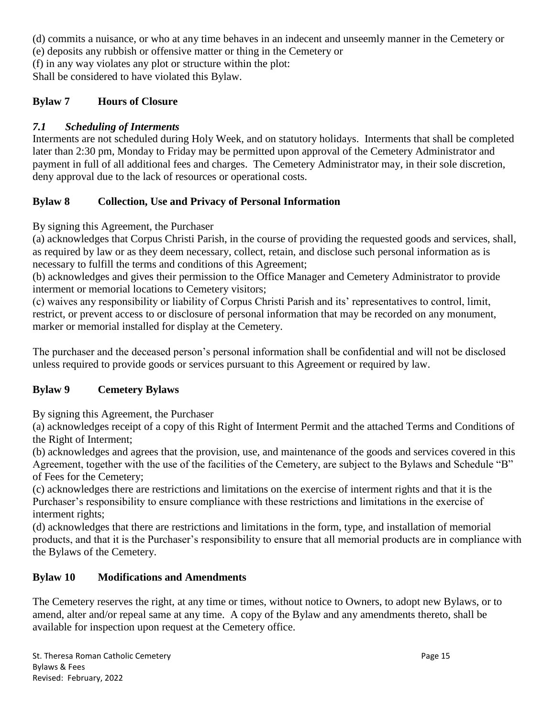(d) commits a nuisance, or who at any time behaves in an indecent and unseemly manner in the Cemetery or

(e) deposits any rubbish or offensive matter or thing in the Cemetery or

(f) in any way violates any plot or structure within the plot:

Shall be considered to have violated this Bylaw.

### **Bylaw 7 Hours of Closure**

# *7.1 Scheduling of Interments*

Interments are not scheduled during Holy Week, and on statutory holidays. Interments that shall be completed later than 2:30 pm, Monday to Friday may be permitted upon approval of the Cemetery Administrator and payment in full of all additional fees and charges. The Cemetery Administrator may, in their sole discretion, deny approval due to the lack of resources or operational costs.

# **Bylaw 8 Collection, Use and Privacy of Personal Information**

By signing this Agreement, the Purchaser

(a) acknowledges that Corpus Christi Parish, in the course of providing the requested goods and services, shall, as required by law or as they deem necessary, collect, retain, and disclose such personal information as is necessary to fulfill the terms and conditions of this Agreement;

(b) acknowledges and gives their permission to the Office Manager and Cemetery Administrator to provide interment or memorial locations to Cemetery visitors;

(c) waives any responsibility or liability of Corpus Christi Parish and its' representatives to control, limit, restrict, or prevent access to or disclosure of personal information that may be recorded on any monument, marker or memorial installed for display at the Cemetery.

The purchaser and the deceased person's personal information shall be confidential and will not be disclosed unless required to provide goods or services pursuant to this Agreement or required by law.

# **Bylaw 9 Cemetery Bylaws**

By signing this Agreement, the Purchaser

(a) acknowledges receipt of a copy of this Right of Interment Permit and the attached Terms and Conditions of the Right of Interment;

(b) acknowledges and agrees that the provision, use, and maintenance of the goods and services covered in this Agreement, together with the use of the facilities of the Cemetery, are subject to the Bylaws and Schedule "B" of Fees for the Cemetery;

(c) acknowledges there are restrictions and limitations on the exercise of interment rights and that it is the Purchaser's responsibility to ensure compliance with these restrictions and limitations in the exercise of interment rights;

(d) acknowledges that there are restrictions and limitations in the form, type, and installation of memorial products, and that it is the Purchaser's responsibility to ensure that all memorial products are in compliance with the Bylaws of the Cemetery.

### **Bylaw 10 Modifications and Amendments**

The Cemetery reserves the right, at any time or times, without notice to Owners, to adopt new Bylaws, or to amend, alter and/or repeal same at any time. A copy of the Bylaw and any amendments thereto, shall be available for inspection upon request at the Cemetery office.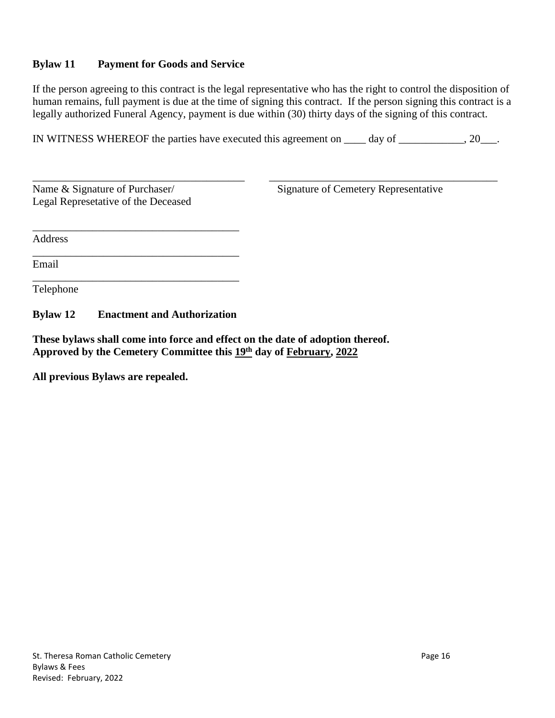#### **Bylaw 11 Payment for Goods and Service**

If the person agreeing to this contract is the legal representative who has the right to control the disposition of human remains, full payment is due at the time of signing this contract. If the person signing this contract is a legally authorized Funeral Agency, payment is due within (30) thirty days of the signing of this contract.

IN WITNESS WHEREOF the parties have executed this agreement on \_\_\_\_ day of \_\_\_\_\_\_\_\_\_, 20\_\_\_.

\_\_\_\_\_\_\_\_\_\_\_\_\_\_\_\_\_\_\_\_\_\_\_\_\_\_\_\_\_\_\_\_\_\_\_\_\_\_\_ \_\_\_\_\_\_\_\_\_\_\_\_\_\_\_\_\_\_\_\_\_\_\_\_\_\_\_\_\_\_\_\_\_\_\_\_\_\_\_\_\_\_

Name & Signature of Purchaser/ Signature of Cemetery Representative Legal Represetative of the Deceased

Address

\_\_\_\_\_\_\_\_\_\_\_\_\_\_\_\_\_\_\_\_\_\_\_\_\_\_\_\_\_\_\_\_\_\_\_\_\_\_ Email

Telephone

**Bylaw 12 Enactment and Authorization**

\_\_\_\_\_\_\_\_\_\_\_\_\_\_\_\_\_\_\_\_\_\_\_\_\_\_\_\_\_\_\_\_\_\_\_\_\_\_

\_\_\_\_\_\_\_\_\_\_\_\_\_\_\_\_\_\_\_\_\_\_\_\_\_\_\_\_\_\_\_\_\_\_\_\_\_\_

**These bylaws shall come into force and effect on the date of adoption thereof. Approved by the Cemetery Committee this 19 th day of February, 2022**

**All previous Bylaws are repealed.**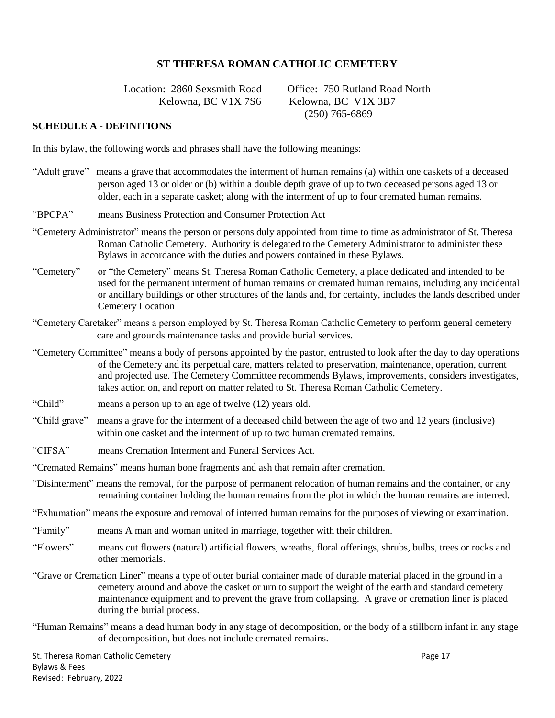Location: 2860 Sexsmith Road Office: 750 Rutland Road North Kelowna, BC V1X 7S6 Kelowna, BC V1X 3B7 (250) 765-6869

#### **SCHEDULE A - DEFINITIONS**

In this bylaw, the following words and phrases shall have the following meanings:

- "Adult grave" means a grave that accommodates the interment of human remains (a) within one caskets of a deceased person aged 13 or older or (b) within a double depth grave of up to two deceased persons aged 13 or older, each in a separate casket; along with the interment of up to four cremated human remains.
- "BPCPA" means Business Protection and Consumer Protection Act
- "Cemetery Administrator" means the person or persons duly appointed from time to time as administrator of St. Theresa Roman Catholic Cemetery. Authority is delegated to the Cemetery Administrator to administer these Bylaws in accordance with the duties and powers contained in these Bylaws.
- "Cemetery" or "the Cemetery" means St. Theresa Roman Catholic Cemetery, a place dedicated and intended to be used for the permanent interment of human remains or cremated human remains, including any incidental or ancillary buildings or other structures of the lands and, for certainty, includes the lands described under Cemetery Location
- "Cemetery Caretaker" means a person employed by St. Theresa Roman Catholic Cemetery to perform general cemetery care and grounds maintenance tasks and provide burial services.
- "Cemetery Committee" means a body of persons appointed by the pastor, entrusted to look after the day to day operations of the Cemetery and its perpetual care, matters related to preservation, maintenance, operation, current and projected use. The Cemetery Committee recommends Bylaws, improvements, considers investigates, takes action on, and report on matter related to St. Theresa Roman Catholic Cemetery.
- "Child" means a person up to an age of twelve (12) years old.
- "Child grave" means a grave for the interment of a deceased child between the age of two and 12 years (inclusive) within one casket and the interment of up to two human cremated remains.
- "CIFSA" means Cremation Interment and Funeral Services Act.

"Cremated Remains" means human bone fragments and ash that remain after cremation.

"Disinterment" means the removal, for the purpose of permanent relocation of human remains and the container, or any remaining container holding the human remains from the plot in which the human remains are interred.

"Exhumation" means the exposure and removal of interred human remains for the purposes of viewing or examination.

- "Family" means A man and woman united in marriage, together with their children.
- "Flowers" means cut flowers (natural) artificial flowers, wreaths, floral offerings, shrubs, bulbs, trees or rocks and other memorials.
- "Grave or Cremation Liner" means a type of outer burial container made of durable material placed in the ground in a cemetery around and above the casket or urn to support the weight of the earth and standard cemetery maintenance equipment and to prevent the grave from collapsing. A grave or cremation liner is placed during the burial process.
- "Human Remains" means a dead human body in any stage of decomposition, or the body of a stillborn infant in any stage of decomposition, but does not include cremated remains.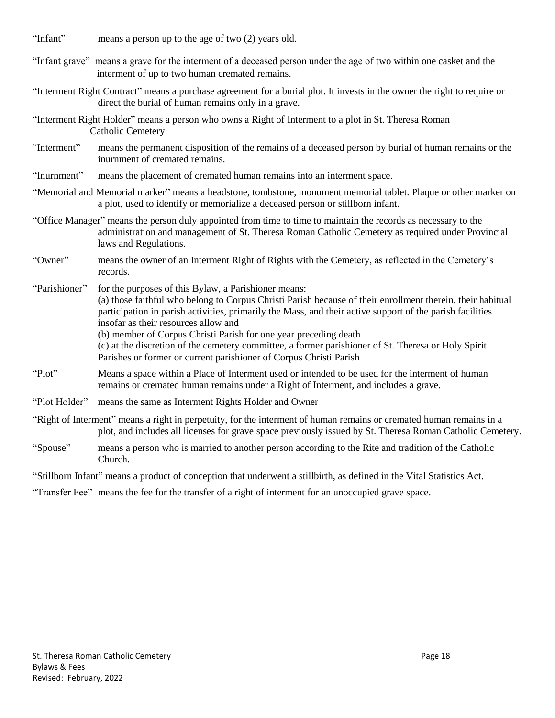"Infant" means a person up to the age of two (2) years old.

- "Infant grave" means a grave for the interment of a deceased person under the age of two within one casket and the interment of up to two human cremated remains.
- "Interment Right Contract" means a purchase agreement for a burial plot. It invests in the owner the right to require or direct the burial of human remains only in a grave.
- "Interment Right Holder" means a person who owns a Right of Interment to a plot in St. Theresa Roman Catholic Cemetery
- "Interment" means the permanent disposition of the remains of a deceased person by burial of human remains or the inurnment of cremated remains.
- "Inurnment" means the placement of cremated human remains into an interment space.
- "Memorial and Memorial marker" means a headstone, tombstone, monument memorial tablet. Plaque or other marker on a plot, used to identify or memorialize a deceased person or stillborn infant.
- "Office Manager" means the person duly appointed from time to time to maintain the records as necessary to the administration and management of St. Theresa Roman Catholic Cemetery as required under Provincial laws and Regulations.
- "Owner" means the owner of an Interment Right of Rights with the Cemetery, as reflected in the Cemetery's records.

"Parishioner" for the purposes of this Bylaw, a Parishioner means: (a) those faithful who belong to Corpus Christi Parish because of their enrollment therein, their habitual participation in parish activities, primarily the Mass, and their active support of the parish facilities insofar as their resources allow and (b) member of Corpus Christi Parish for one year preceding death (c) at the discretion of the cemetery committee, a former parishioner of St. Theresa or Holy Spirit Parishes or former or current parishioner of Corpus Christi Parish

- "Plot" Means a space within a Place of Interment used or intended to be used for the interment of human remains or cremated human remains under a Right of Interment, and includes a grave.
- "Plot Holder" means the same as Interment Rights Holder and Owner
- "Right of Interment" means a right in perpetuity, for the interment of human remains or cremated human remains in a plot, and includes all licenses for grave space previously issued by St. Theresa Roman Catholic Cemetery.
- "Spouse" means a person who is married to another person according to the Rite and tradition of the Catholic Church.

"Stillborn Infant" means a product of conception that underwent a stillbirth, as defined in the Vital Statistics Act.

"Transfer Fee" means the fee for the transfer of a right of interment for an unoccupied grave space.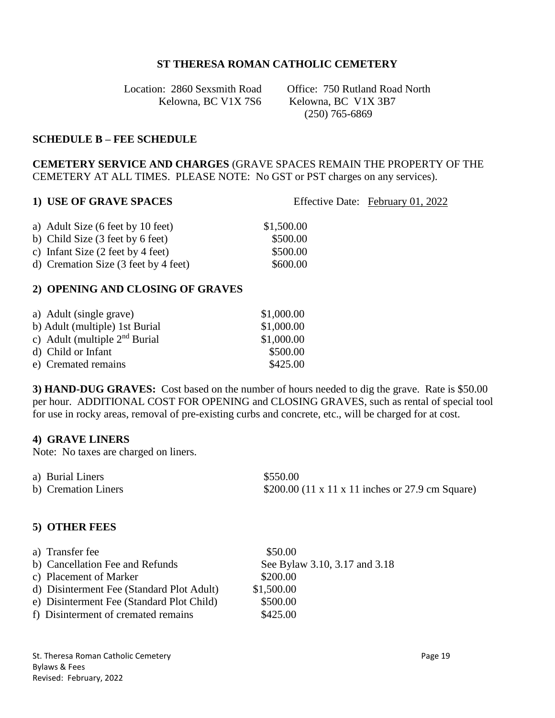Location: 2860 Sexsmith Road Office: 750 Rutland Road North Kelowna, BC V1X 7S6 Kelowna, BC V1X 3B7 (250) 765-6869

#### **SCHEDULE B – FEE SCHEDULE**

#### **CEMETERY SERVICE AND CHARGES** (GRAVE SPACES REMAIN THE PROPERTY OF THE CEMETERY AT ALL TIMES. PLEASE NOTE: No GST or PST charges on any services).

**1) USE OF GRAVE SPACES** Effective Date: February 01, 2022

| a) Adult Size (6 feet by 10 feet)                    | \$1,500.00 |
|------------------------------------------------------|------------|
| b) Child Size (3 feet by 6 feet)                     | \$500.00   |
| c) Infant Size $(2 \text{ feet by } 4 \text{ feet})$ | \$500.00   |
| d) Cremation Size $(3$ feet by 4 feet)               | \$600.00   |

#### **2) OPENING AND CLOSING OF GRAVES**

| a) Adult (single grave)         | \$1,000.00 |
|---------------------------------|------------|
| b) Adult (multiple) 1st Burial  | \$1,000.00 |
| c) Adult (multiple $2nd$ Burial | \$1,000.00 |
| d) Child or Infant              | \$500.00   |
| e) Cremated remains             | \$425.00   |

**3) HAND-DUG GRAVES:** Cost based on the number of hours needed to dig the grave. Rate is \$50.00 per hour. ADDITIONAL COST FOR OPENING and CLOSING GRAVES, such as rental of special tool for use in rocky areas, removal of pre-existing curbs and concrete, etc., will be charged for at cost.

#### **4) GRAVE LINERS**

Note: No taxes are charged on liners.

| a) Burial Liners    | \$550.00                                                      |
|---------------------|---------------------------------------------------------------|
| b) Cremation Liners | \$200.00 $(11 \times 11 \times 11)$ inches or 27.9 cm Square) |

#### **5) OTHER FEES**

| a) Transfer fee                           | \$50.00                       |
|-------------------------------------------|-------------------------------|
| b) Cancellation Fee and Refunds           | See Bylaw 3.10, 3.17 and 3.18 |
| c) Placement of Marker                    | \$200.00                      |
| d) Disinterment Fee (Standard Plot Adult) | \$1,500.00                    |
| e) Disinterment Fee (Standard Plot Child) | \$500.00                      |
| f) Disinterment of cremated remains       | \$425.00                      |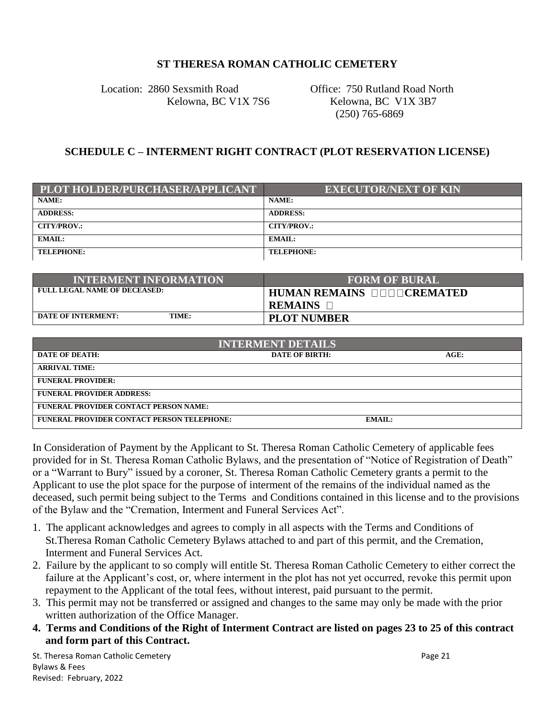Location: 2860 Sexsmith Road Office: 750 Rutland Road North

Kelowna, BC V1X 7S6 Kelowna, BC V1X 3B7 (250) 765-6869

#### **SCHEDULE C – INTERMENT RIGHT CONTRACT (PLOT RESERVATION LICENSE)**

| PLOT HOLDER/PURCHASER/APPLICANT | <b>EXECUTOR/NEXT OF KIN</b> |
|---------------------------------|-----------------------------|
| NAME:                           | NAME:                       |
| <b>ADDRESS:</b>                 | <b>ADDRESS:</b>             |
| CITY/PROV.:                     | CITY/PROV.:                 |
| EMAIL:                          | EMAIL:                      |
| TELEPHONE:                      | TELEPHONE:                  |

| <b>INTERMENT INFORMATION</b> | <b>FORM OF BURAL</b>             |
|------------------------------|----------------------------------|
| FULL LEGAL NAME OF DECEASED: | HUMAN REMAINS <b>DOOCREMATED</b> |
|                              | <b>REMAINS</b>                   |
| TIME:<br>DATE OF INTERMENT:  | <b>PLOT NUMBER</b>               |

| <b>INTERMENT DETAILS</b>                          |                       |        |  |  |
|---------------------------------------------------|-----------------------|--------|--|--|
| <b>DATE OF DEATH:</b>                             | <b>DATE OF BIRTH:</b> | AGE:   |  |  |
| <b>ARRIVAL TIME:</b>                              |                       |        |  |  |
| <b>FUNERAL PROVIDER:</b>                          |                       |        |  |  |
| <b>FUNERAL PROVIDER ADDRESS:</b>                  |                       |        |  |  |
| <b>FUNERAL PROVIDER CONTACT PERSON NAME:</b>      |                       |        |  |  |
| <b>FUNERAL PROVIDER CONTACT PERSON TELEPHONE:</b> |                       | EMAIL: |  |  |

In Consideration of Payment by the Applicant to St. Theresa Roman Catholic Cemetery of applicable fees provided for in St. Theresa Roman Catholic Bylaws, and the presentation of "Notice of Registration of Death" or a "Warrant to Bury" issued by a coroner, St. Theresa Roman Catholic Cemetery grants a permit to the Applicant to use the plot space for the purpose of interment of the remains of the individual named as the deceased, such permit being subject to the Terms and Conditions contained in this license and to the provisions of the Bylaw and the "Cremation, Interment and Funeral Services Act".

- 1. The applicant acknowledges and agrees to comply in all aspects with the Terms and Conditions of St.Theresa Roman Catholic Cemetery Bylaws attached to and part of this permit, and the Cremation, Interment and Funeral Services Act.
- 2. Failure by the applicant to so comply will entitle St. Theresa Roman Catholic Cemetery to either correct the failure at the Applicant's cost, or, where interment in the plot has not yet occurred, revoke this permit upon repayment to the Applicant of the total fees, without interest, paid pursuant to the permit.
- 3. This permit may not be transferred or assigned and changes to the same may only be made with the prior written authorization of the Office Manager.
- **4. Terms and Conditions of the Right of Interment Contract are listed on pages 23 to 25 of this contract and form part of this Contract.**

St. Theresa Roman Catholic Cemetery **Page 21 Page 21** Bylaws & Fees Revised: February, 2022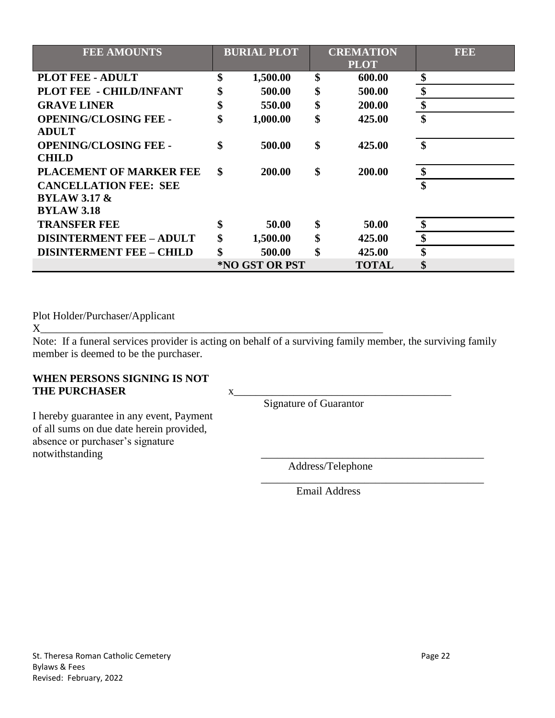| <b>FEE AMOUNTS</b>              | <b>BURIAL PLOT</b>    | <b>CREMATION</b><br><b>PLOT</b> | <b>FEE</b> |
|---------------------------------|-----------------------|---------------------------------|------------|
| <b>PLOT FEE - ADULT</b>         | \$<br>1,500.00        | \$<br>600.00                    | \$         |
| PLOT FEE - CHILD/INFANT         | \$<br>500.00          | \$<br>500.00                    | \$         |
| <b>GRAVE LINER</b>              | \$<br>550.00          | \$<br>200.00                    | \$         |
| <b>OPENING/CLOSING FEE -</b>    | \$<br>1,000.00        | \$<br>425.00                    | \$         |
| <b>ADULT</b>                    |                       |                                 |            |
| <b>OPENING/CLOSING FEE -</b>    | \$<br>500.00          | \$<br>425.00                    | \$         |
| <b>CHILD</b>                    |                       |                                 |            |
| <b>PLACEMENT OF MARKER FEE</b>  | \$<br>200.00          | \$<br>200.00                    | \$         |
| <b>CANCELLATION FEE: SEE</b>    |                       |                                 | \$         |
| <b>BYLAW 3.17 &amp;</b>         |                       |                                 |            |
| <b>BYLAW 3.18</b>               |                       |                                 |            |
| <b>TRANSFER FEE</b>             | \$<br>50.00           | \$<br>50.00                     | \$         |
| <b>DISINTERMENT FEE - ADULT</b> | \$<br>1,500.00        | \$<br>425.00                    | \$         |
| <b>DISINTERMENT FEE - CHILD</b> | \$<br>500.00          | \$<br>425.00                    | \$         |
|                                 | <b>*NO GST OR PST</b> | <b>TOTAL</b>                    | \$         |

Plot Holder/Purchaser/Applicant

 $X_\_$ 

Note: If a funeral services provider is acting on behalf of a surviving family member, the surviving family member is deemed to be the purchaser.

 $\overline{\phantom{a}}$  , and the contract of the contract of the contract of the contract of the contract of the contract of the contract of the contract of the contract of the contract of the contract of the contract of the contrac

#### **WHEN PERSONS SIGNING IS NOT** THE PURCHASER X\_

Signature of Guarantor

I hereby guarantee in any event, Payment of all sums on due date herein provided, absence or purchaser's signature notwithstanding

Address/Telephone

Email Address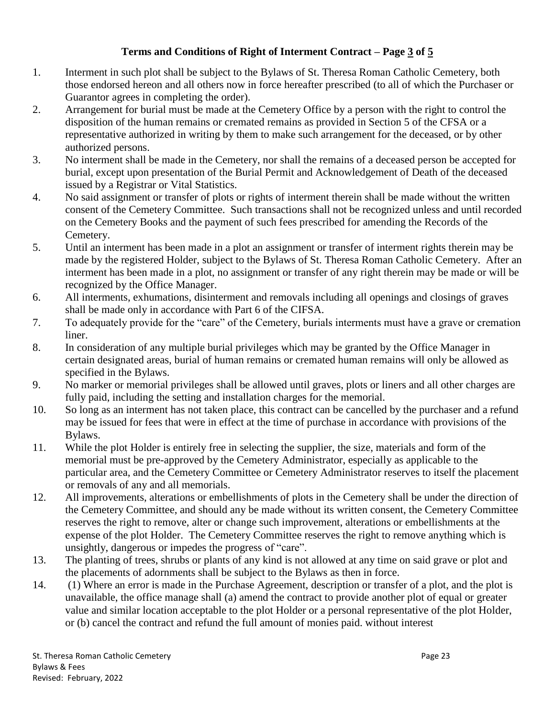### **Terms and Conditions of Right of Interment Contract – Page 3 of 5**

- 1. Interment in such plot shall be subject to the Bylaws of St. Theresa Roman Catholic Cemetery, both those endorsed hereon and all others now in force hereafter prescribed (to all of which the Purchaser or Guarantor agrees in completing the order).
- 2. Arrangement for burial must be made at the Cemetery Office by a person with the right to control the disposition of the human remains or cremated remains as provided in Section 5 of the CFSA or a representative authorized in writing by them to make such arrangement for the deceased, or by other authorized persons.
- 3. No interment shall be made in the Cemetery, nor shall the remains of a deceased person be accepted for burial, except upon presentation of the Burial Permit and Acknowledgement of Death of the deceased issued by a Registrar or Vital Statistics.
- 4. No said assignment or transfer of plots or rights of interment therein shall be made without the written consent of the Cemetery Committee. Such transactions shall not be recognized unless and until recorded on the Cemetery Books and the payment of such fees prescribed for amending the Records of the Cemetery.
- 5. Until an interment has been made in a plot an assignment or transfer of interment rights therein may be made by the registered Holder, subject to the Bylaws of St. Theresa Roman Catholic Cemetery. After an interment has been made in a plot, no assignment or transfer of any right therein may be made or will be recognized by the Office Manager.
- 6. All interments, exhumations, disinterment and removals including all openings and closings of graves shall be made only in accordance with Part 6 of the CIFSA.
- 7. To adequately provide for the "care" of the Cemetery, burials interments must have a grave or cremation liner.
- 8. In consideration of any multiple burial privileges which may be granted by the Office Manager in certain designated areas, burial of human remains or cremated human remains will only be allowed as specified in the Bylaws.
- 9. No marker or memorial privileges shall be allowed until graves, plots or liners and all other charges are fully paid, including the setting and installation charges for the memorial.
- 10. So long as an interment has not taken place, this contract can be cancelled by the purchaser and a refund may be issued for fees that were in effect at the time of purchase in accordance with provisions of the Bylaws.
- 11. While the plot Holder is entirely free in selecting the supplier, the size, materials and form of the memorial must be pre-approved by the Cemetery Administrator, especially as applicable to the particular area, and the Cemetery Committee or Cemetery Administrator reserves to itself the placement or removals of any and all memorials.
- 12. All improvements, alterations or embellishments of plots in the Cemetery shall be under the direction of the Cemetery Committee, and should any be made without its written consent, the Cemetery Committee reserves the right to remove, alter or change such improvement, alterations or embellishments at the expense of the plot Holder. The Cemetery Committee reserves the right to remove anything which is unsightly, dangerous or impedes the progress of "care".
- 13. The planting of trees, shrubs or plants of any kind is not allowed at any time on said grave or plot and the placements of adornments shall be subject to the Bylaws as then in force.
- 14. (1) Where an error is made in the Purchase Agreement, description or transfer of a plot, and the plot is unavailable, the office manage shall (a) amend the contract to provide another plot of equal or greater value and similar location acceptable to the plot Holder or a personal representative of the plot Holder, or (b) cancel the contract and refund the full amount of monies paid. without interest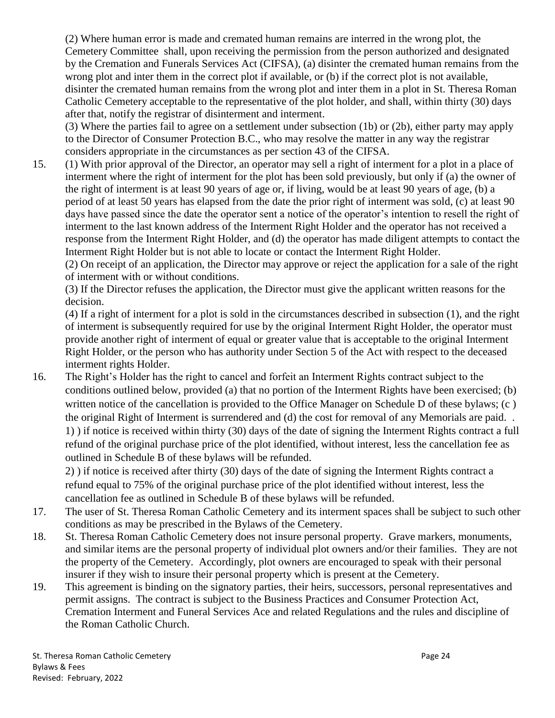(2) Where human error is made and cremated human remains are interred in the wrong plot, the Cemetery Committee shall, upon receiving the permission from the person authorized and designated by the Cremation and Funerals Services Act (CIFSA), (a) disinter the cremated human remains from the wrong plot and inter them in the correct plot if available, or (b) if the correct plot is not available, disinter the cremated human remains from the wrong plot and inter them in a plot in St. Theresa Roman Catholic Cemetery acceptable to the representative of the plot holder, and shall, within thirty (30) days after that, notify the registrar of disinterment and interment.

(3) Where the parties fail to agree on a settlement under subsection (1b) or (2b), either party may apply to the Director of Consumer Protection B.C., who may resolve the matter in any way the registrar considers appropriate in the circumstances as per section 43 of the CIFSA.

15. (1) With prior approval of the Director, an operator may sell a right of interment for a plot in a place of interment where the right of interment for the plot has been sold previously, but only if (a) the owner of the right of interment is at least 90 years of age or, if living, would be at least 90 years of age, (b) a period of at least 50 years has elapsed from the date the prior right of interment was sold, (c) at least 90 days have passed since the date the operator sent a notice of the operator's intention to resell the right of interment to the last known address of the Interment Right Holder and the operator has not received a response from the Interment Right Holder, and (d) the operator has made diligent attempts to contact the Interment Right Holder but is not able to locate or contact the Interment Right Holder.

(2) On receipt of an application, the Director may approve or reject the application for a sale of the right of interment with or without conditions.

(3) If the Director refuses the application, the Director must give the applicant written reasons for the decision.

(4) If a right of interment for a plot is sold in the circumstances described in subsection (1), and the right of interment is subsequently required for use by the original Interment Right Holder, the operator must provide another right of interment of equal or greater value that is acceptable to the original Interment Right Holder, or the person who has authority under Section 5 of the Act with respect to the deceased interment rights Holder.

16. The Right's Holder has the right to cancel and forfeit an Interment Rights contract subject to the conditions outlined below, provided (a) that no portion of the Interment Rights have been exercised; (b) written notice of the cancellation is provided to the Office Manager on Schedule D of these bylaws; (c ) the original Right of Interment is surrendered and (d) the cost for removal of any Memorials are paid. . 1) ) if notice is received within thirty (30) days of the date of signing the Interment Rights contract a full refund of the original purchase price of the plot identified, without interest, less the cancellation fee as outlined in Schedule B of these bylaws will be refunded.

2) ) if notice is received after thirty (30) days of the date of signing the Interment Rights contract a refund equal to 75% of the original purchase price of the plot identified without interest, less the cancellation fee as outlined in Schedule B of these bylaws will be refunded.

- 17. The user of St. Theresa Roman Catholic Cemetery and its interment spaces shall be subject to such other conditions as may be prescribed in the Bylaws of the Cemetery.
- 18. St. Theresa Roman Catholic Cemetery does not insure personal property. Grave markers, monuments, and similar items are the personal property of individual plot owners and/or their families. They are not the property of the Cemetery. Accordingly, plot owners are encouraged to speak with their personal insurer if they wish to insure their personal property which is present at the Cemetery.
- 19. This agreement is binding on the signatory parties, their heirs, successors, personal representatives and permit assigns. The contract is subject to the Business Practices and Consumer Protection Act, Cremation Interment and Funeral Services Ace and related Regulations and the rules and discipline of the Roman Catholic Church.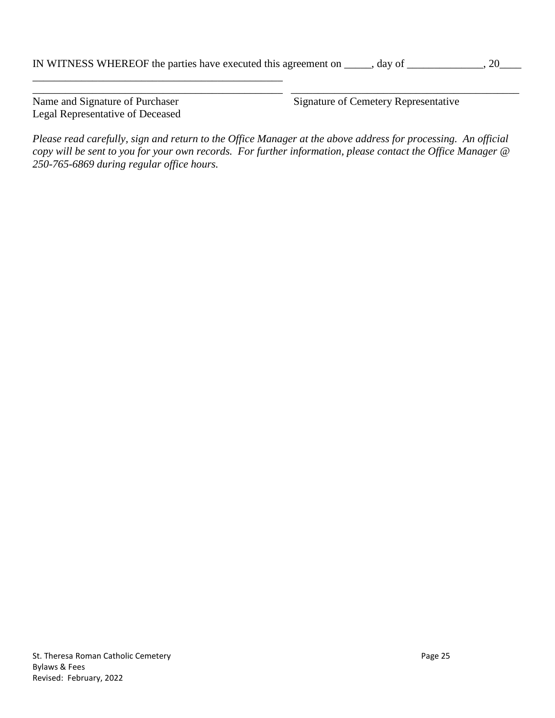# IN WITNESS WHEREOF the parties have executed this agreement on \_\_\_\_, day of \_\_\_\_\_\_\_\_\_, 20\_\_\_

\_\_\_\_\_\_\_\_\_\_\_\_\_\_\_\_\_\_\_\_\_\_\_\_\_\_\_\_\_\_\_\_\_\_\_\_\_\_\_\_\_\_\_\_\_\_ \_\_\_\_\_\_\_\_\_\_\_\_\_\_\_\_\_\_\_\_\_\_\_\_\_\_\_\_\_\_\_\_\_\_\_\_\_\_\_\_\_\_

Legal Representative of Deceased

\_\_\_\_\_\_\_\_\_\_\_\_\_\_\_\_\_\_\_\_\_\_\_\_\_\_\_\_\_\_\_\_\_\_\_\_\_\_\_\_\_\_\_\_\_\_

Name and Signature of Purchaser Signature of Cemetery Representative

*Please read carefully, sign and return to the Office Manager at the above address for processing. An official copy will be sent to you for your own records. For further information, please contact the Office Manager @ 250-765-6869 during regular office hours.*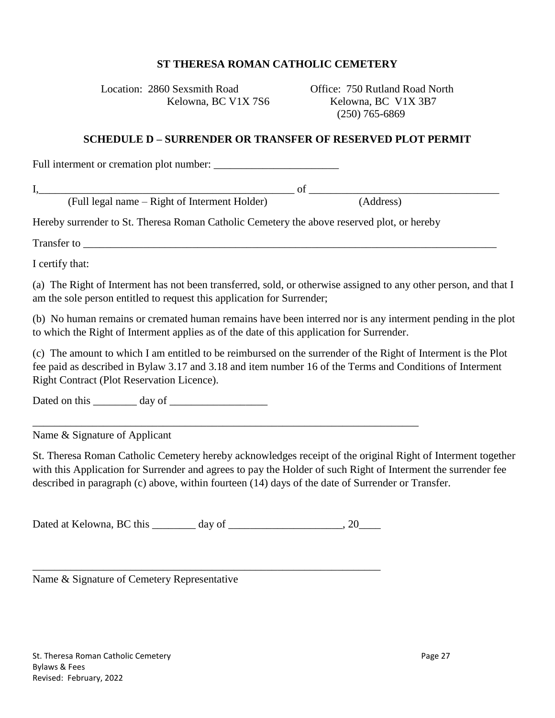Location: 2860 Sexsmith Road Office: 750 Rutland Road North

Kelowna, BC V1X 7S6 Kelowna, BC V1X 3B7 (250) 765-6869

#### **SCHEDULE D – SURRENDER OR TRANSFER OF RESERVED PLOT PERMIT**

Full interment or cremation plot number:

I,\_\_\_\_\_\_\_\_\_\_\_\_\_\_\_\_\_\_\_\_\_\_\_\_\_\_\_\_\_\_\_\_\_\_\_\_\_\_\_\_\_\_\_\_\_\_\_ of \_\_\_\_\_\_\_\_\_\_\_\_\_\_\_\_\_\_\_\_\_\_\_\_\_\_\_\_\_\_\_\_\_\_\_

(Full legal name – Right of Interment Holder) (Address)

Hereby surrender to St. Theresa Roman Catholic Cemetery the above reserved plot, or hereby

Transfer to  $\blacksquare$ 

I certify that:

(a) The Right of Interment has not been transferred, sold, or otherwise assigned to any other person, and that I am the sole person entitled to request this application for Surrender;

(b) No human remains or cremated human remains have been interred nor is any interment pending in the plot to which the Right of Interment applies as of the date of this application for Surrender.

(c) The amount to which I am entitled to be reimbursed on the surrender of the Right of Interment is the Plot fee paid as described in Bylaw 3.17 and 3.18 and item number 16 of the Terms and Conditions of Interment Right Contract (Plot Reservation Licence).

Dated on this day of

Name & Signature of Applicant

St. Theresa Roman Catholic Cemetery hereby acknowledges receipt of the original Right of Interment together with this Application for Surrender and agrees to pay the Holder of such Right of Interment the surrender fee described in paragraph (c) above, within fourteen (14) days of the date of Surrender or Transfer.

Dated at Kelowna, BC this day of the case of the case of the case of the case of  $\sim 20$ 

\_\_\_\_\_\_\_\_\_\_\_\_\_\_\_\_\_\_\_\_\_\_\_\_\_\_\_\_\_\_\_\_\_\_\_\_\_\_\_\_\_\_\_\_\_\_\_\_\_\_\_\_\_\_\_\_\_\_\_\_\_\_\_\_

\_\_\_\_\_\_\_\_\_\_\_\_\_\_\_\_\_\_\_\_\_\_\_\_\_\_\_\_\_\_\_\_\_\_\_\_\_\_\_\_\_\_\_\_\_\_\_\_\_\_\_\_\_\_\_\_\_\_\_\_\_\_\_\_\_\_\_\_\_\_\_

Name & Signature of Cemetery Representative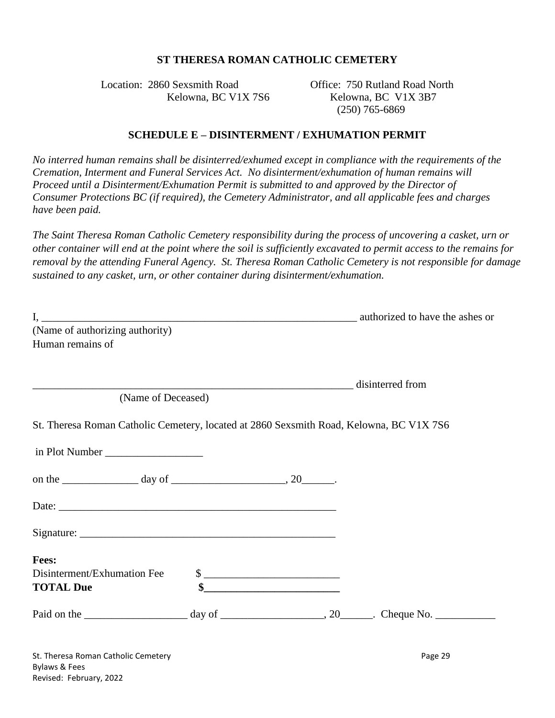Location: 2860 Sexsmith Road Office: 750 Rutland Road North

Kelowna, BC V1X 7S6 Kelowna, BC V1X 3B7 (250) 765-6869

#### **SCHEDULE E – DISINTERMENT / EXHUMATION PERMIT**

*No interred human remains shall be disinterred/exhumed except in compliance with the requirements of the Cremation, Interment and Funeral Services Act. No disinterment/exhumation of human remains will Proceed until a Disinterment/Exhumation Permit is submitted to and approved by the Director of Consumer Protections BC (if required), the Cemetery Administrator, and all applicable fees and charges have been paid.*

*The Saint Theresa Roman Catholic Cemetery responsibility during the process of uncovering a casket, urn or other container will end at the point where the soil is sufficiently excavated to permit access to the remains for removal by the attending Funeral Agency. St. Theresa Roman Catholic Cemetery is not responsible for damage sustained to any casket, urn, or other container during disinterment/exhumation.*

| (Name of authorizing authority)                                                         |  |  |
|-----------------------------------------------------------------------------------------|--|--|
| Human remains of                                                                        |  |  |
|                                                                                         |  |  |
|                                                                                         |  |  |
| disinterred from<br>(Name of Deceased)                                                  |  |  |
|                                                                                         |  |  |
| St. Theresa Roman Catholic Cemetery, located at 2860 Sexsmith Road, Kelowna, BC V1X 7S6 |  |  |
|                                                                                         |  |  |
| in Plot Number                                                                          |  |  |
|                                                                                         |  |  |
|                                                                                         |  |  |
|                                                                                         |  |  |
|                                                                                         |  |  |
|                                                                                         |  |  |
| Fees:                                                                                   |  |  |
| Disinterment/Exhumation Fee                                                             |  |  |
| <b>TOTAL Due</b>                                                                        |  |  |
|                                                                                         |  |  |
|                                                                                         |  |  |
|                                                                                         |  |  |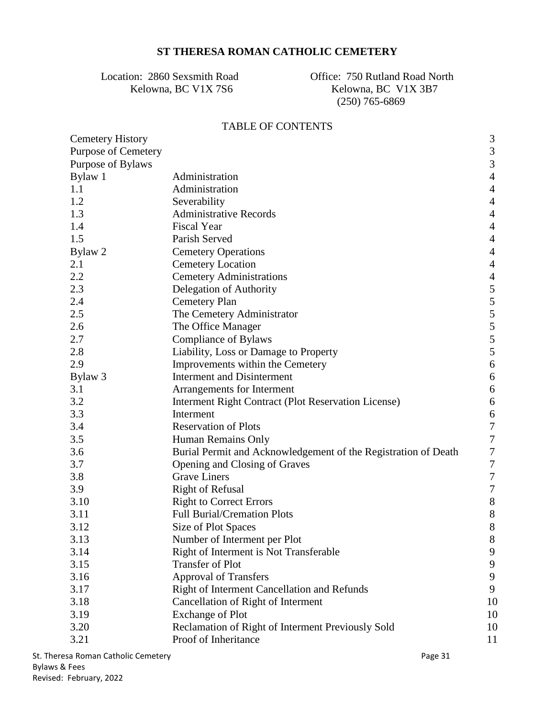Location: 2860 Sexsmith Road Office: 750 Rutland Road North Kelowna, BC V1X 7S6 Kelowna, BC V1X 3B7 (250) 765-6869

#### TABLE OF CONTENTS

|                                                                | 3                |
|----------------------------------------------------------------|------------------|
|                                                                | $\overline{3}$   |
|                                                                | $\overline{3}$   |
| Administration                                                 | $\overline{4}$   |
| Administration                                                 | $\overline{4}$   |
| Severability                                                   | $\overline{4}$   |
| <b>Administrative Records</b>                                  | $\overline{4}$   |
| <b>Fiscal Year</b>                                             | $\overline{4}$   |
| Parish Served                                                  | $\overline{4}$   |
| <b>Cemetery Operations</b>                                     | $\overline{4}$   |
| <b>Cemetery Location</b>                                       | $\overline{4}$   |
| <b>Cemetery Administrations</b>                                | $\overline{4}$   |
| Delegation of Authority                                        | 5                |
| <b>Cemetery Plan</b>                                           | 5                |
| The Cemetery Administrator                                     | 5                |
| The Office Manager                                             | $\frac{5}{5}$    |
| Compliance of Bylaws                                           |                  |
| Liability, Loss or Damage to Property                          | 5                |
| Improvements within the Cemetery                               | $\boldsymbol{6}$ |
| <b>Interment and Disinterment</b>                              | 6                |
| Arrangements for Interment                                     | 6                |
| Interment Right Contract (Plot Reservation License)            | 6                |
| Interment                                                      | 6                |
| <b>Reservation of Plots</b>                                    | $\boldsymbol{7}$ |
| Human Remains Only                                             | $\overline{7}$   |
| Burial Permit and Acknowledgement of the Registration of Death | $\boldsymbol{7}$ |
| Opening and Closing of Graves                                  | $\boldsymbol{7}$ |
| <b>Grave Liners</b>                                            | $\boldsymbol{7}$ |
| <b>Right of Refusal</b>                                        | $\boldsymbol{7}$ |
| <b>Right to Correct Errors</b>                                 | $8\,$            |
| <b>Full Burial/Cremation Plots</b>                             | $8\,$            |
| Size of Plot Spaces                                            | 8                |
| Number of Interment per Plot                                   | $8\,$            |
| Right of Interment is Not Transferable                         | 9                |
| <b>Transfer of Plot</b>                                        | 9                |
| <b>Approval of Transfers</b>                                   | 9                |
| Right of Interment Cancellation and Refunds                    | 9                |
| Cancellation of Right of Interment                             | 10               |
| <b>Exchange of Plot</b>                                        | 10               |
| Reclamation of Right of Interment Previously Sold              | 10               |
| Proof of Inheritance                                           | 11               |
|                                                                |                  |